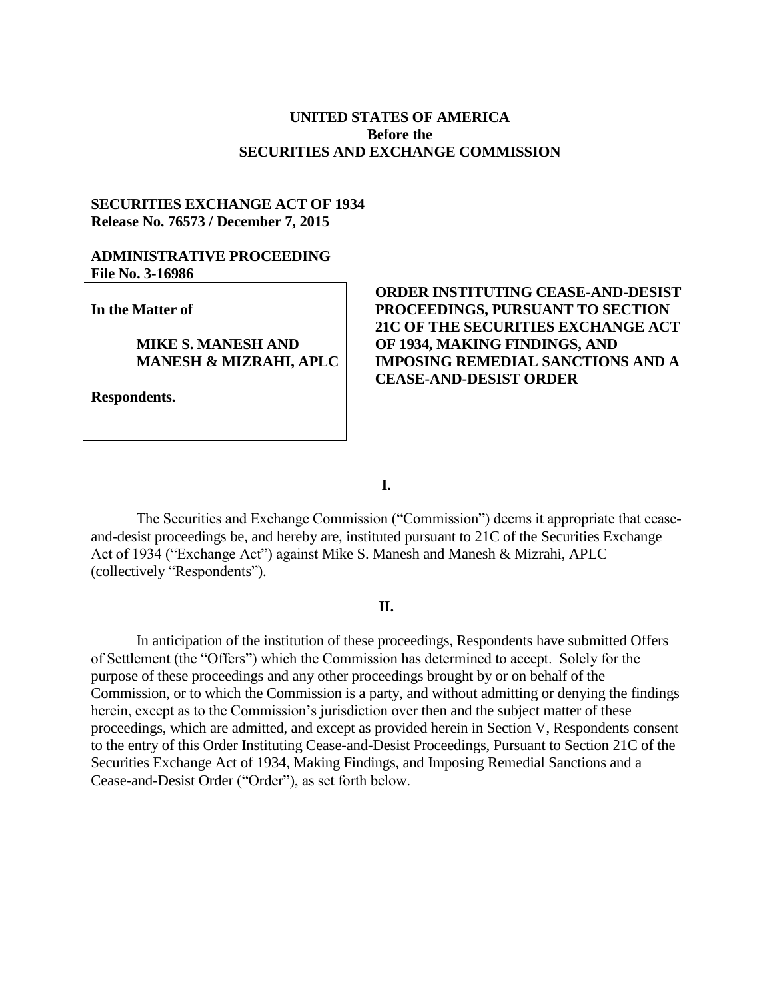## **UNITED STATES OF AMERICA Before the SECURITIES AND EXCHANGE COMMISSION**

## **SECURITIES EXCHANGE ACT OF 1934 Release No. 76573 / December 7, 2015**

## **ADMINISTRATIVE PROCEEDING File No. 3-16986**

**In the Matter of**

**MIKE S. MANESH AND MANESH & MIZRAHI, APLC**

**Respondents.**

# **ORDER INSTITUTING CEASE-AND-DESIST PROCEEDINGS, PURSUANT TO SECTION 21C OF THE SECURITIES EXCHANGE ACT OF 1934, MAKING FINDINGS, AND IMPOSING REMEDIAL SANCTIONS AND A CEASE-AND-DESIST ORDER**

**I.**

The Securities and Exchange Commission ("Commission") deems it appropriate that ceaseand-desist proceedings be, and hereby are, instituted pursuant to 21C of the Securities Exchange Act of 1934 ("Exchange Act") against Mike S. Manesh and Manesh & Mizrahi, APLC (collectively "Respondents").

### **II.**

In anticipation of the institution of these proceedings, Respondents have submitted Offers of Settlement (the "Offers") which the Commission has determined to accept. Solely for the purpose of these proceedings and any other proceedings brought by or on behalf of the Commission, or to which the Commission is a party, and without admitting or denying the findings herein, except as to the Commission's jurisdiction over then and the subject matter of these proceedings, which are admitted, and except as provided herein in Section V, Respondents consent to the entry of this Order Instituting Cease-and-Desist Proceedings, Pursuant to Section 21C of the Securities Exchange Act of 1934, Making Findings, and Imposing Remedial Sanctions and a Cease-and-Desist Order ("Order"), as set forth below.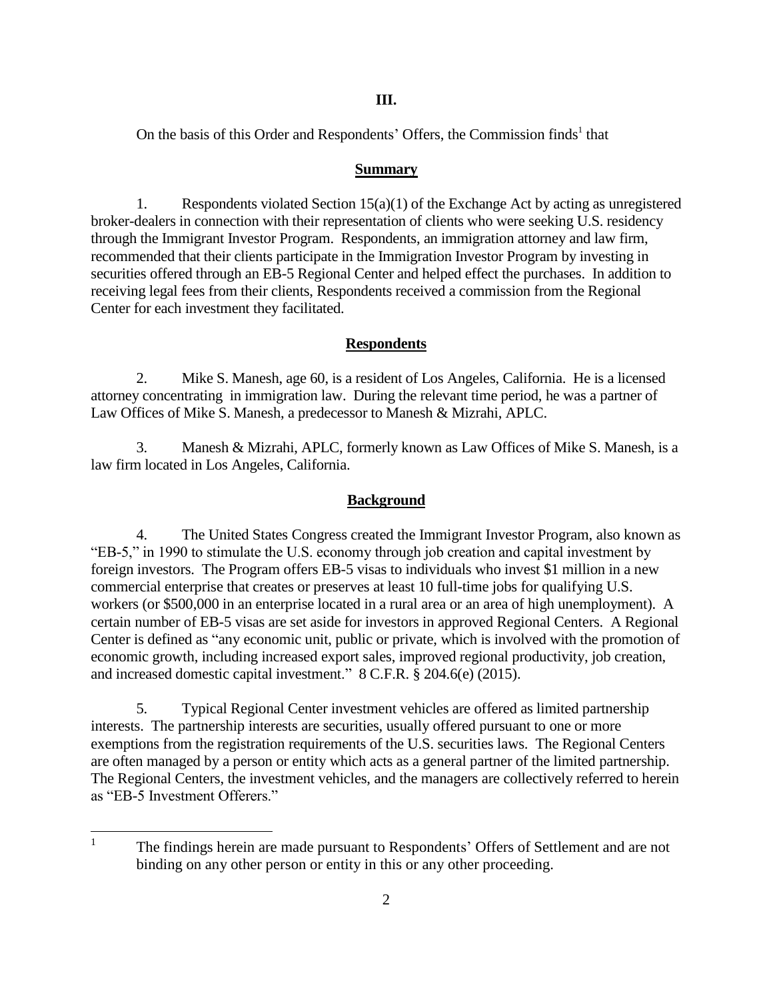**III.**

On the basis of this Order and Respondents' Offers, the Commission finds<sup>1</sup> that

### **Summary**

1. Respondents violated Section  $15(a)(1)$  of the Exchange Act by acting as unregistered broker-dealers in connection with their representation of clients who were seeking U.S. residency through the Immigrant Investor Program. Respondents, an immigration attorney and law firm, recommended that their clients participate in the Immigration Investor Program by investing in securities offered through an EB-5 Regional Center and helped effect the purchases. In addition to receiving legal fees from their clients, Respondents received a commission from the Regional Center for each investment they facilitated.

# **Respondents**

2. Mike S. Manesh, age 60, is a resident of Los Angeles, California. He is a licensed attorney concentrating in immigration law. During the relevant time period, he was a partner of Law Offices of Mike S. Manesh, a predecessor to Manesh & Mizrahi, APLC.

3. Manesh & Mizrahi, APLC, formerly known as Law Offices of Mike S. Manesh, is a law firm located in Los Angeles, California.

## **Background**

4. The United States Congress created the Immigrant Investor Program, also known as "EB-5," in 1990 to stimulate the U.S. economy through job creation and capital investment by foreign investors. The Program offers EB-5 visas to individuals who invest \$1 million in a new commercial enterprise that creates or preserves at least 10 full-time jobs for qualifying U.S. workers (or \$500,000 in an enterprise located in a rural area or an area of high unemployment). A certain number of EB-5 visas are set aside for investors in approved Regional Centers. A Regional Center is defined as "any economic unit, public or private, which is involved with the promotion of economic growth, including increased export sales, improved regional productivity, job creation, and increased domestic capital investment." 8 C.F.R. § 204.6(e) (2015).

5. Typical Regional Center investment vehicles are offered as limited partnership interests. The partnership interests are securities, usually offered pursuant to one or more exemptions from the registration requirements of the U.S. securities laws. The Regional Centers are often managed by a person or entity which acts as a general partner of the limited partnership. The Regional Centers, the investment vehicles, and the managers are collectively referred to herein as "EB-5 Investment Offerers."

 $\frac{1}{1}$ The findings herein are made pursuant to Respondents' Offers of Settlement and are not binding on any other person or entity in this or any other proceeding.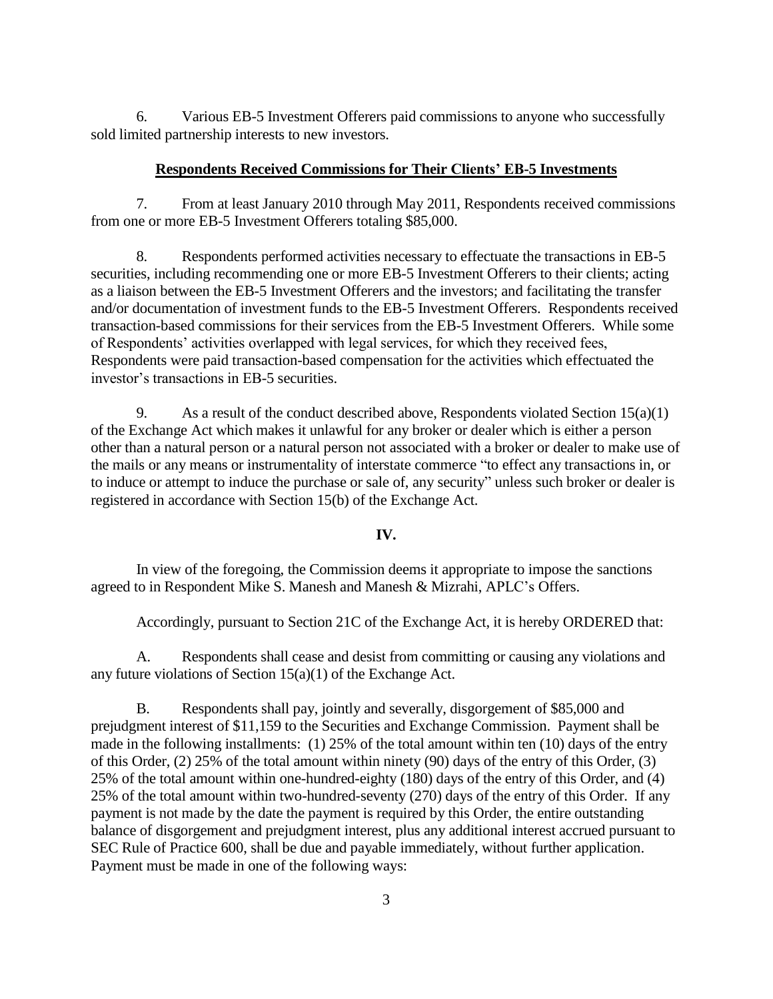6. Various EB-5 Investment Offerers paid commissions to anyone who successfully sold limited partnership interests to new investors.

### **Respondents Received Commissions for Their Clients' EB-5 Investments**

7. From at least January 2010 through May 2011, Respondents received commissions from one or more EB-5 Investment Offerers totaling \$85,000.

8. Respondents performed activities necessary to effectuate the transactions in EB-5 securities, including recommending one or more EB-5 Investment Offerers to their clients; acting as a liaison between the EB-5 Investment Offerers and the investors; and facilitating the transfer and/or documentation of investment funds to the EB-5 Investment Offerers. Respondents received transaction-based commissions for their services from the EB-5 Investment Offerers. While some of Respondents' activities overlapped with legal services, for which they received fees, Respondents were paid transaction-based compensation for the activities which effectuated the investor's transactions in EB-5 securities.

9. As a result of the conduct described above, Respondents violated Section  $15(a)(1)$ of the Exchange Act which makes it unlawful for any broker or dealer which is either a person other than a natural person or a natural person not associated with a broker or dealer to make use of the mails or any means or instrumentality of interstate commerce "to effect any transactions in, or to induce or attempt to induce the purchase or sale of, any security" unless such broker or dealer is registered in accordance with Section 15(b) of the Exchange Act.

#### **IV.**

In view of the foregoing, the Commission deems it appropriate to impose the sanctions agreed to in Respondent Mike S. Manesh and Manesh & Mizrahi, APLC's Offers.

Accordingly, pursuant to Section 21C of the Exchange Act, it is hereby ORDERED that:

A. Respondents shall cease and desist from committing or causing any violations and any future violations of Section 15(a)(1) of the Exchange Act.

B. Respondents shall pay, jointly and severally, disgorgement of \$85,000 and prejudgment interest of \$11,159 to the Securities and Exchange Commission. Payment shall be made in the following installments: (1) 25% of the total amount within ten (10) days of the entry of this Order, (2) 25% of the total amount within ninety (90) days of the entry of this Order, (3) 25% of the total amount within one-hundred-eighty (180) days of the entry of this Order, and (4) 25% of the total amount within two-hundred-seventy (270) days of the entry of this Order. If any payment is not made by the date the payment is required by this Order, the entire outstanding balance of disgorgement and prejudgment interest, plus any additional interest accrued pursuant to SEC Rule of Practice 600, shall be due and payable immediately, without further application. Payment must be made in one of the following ways: